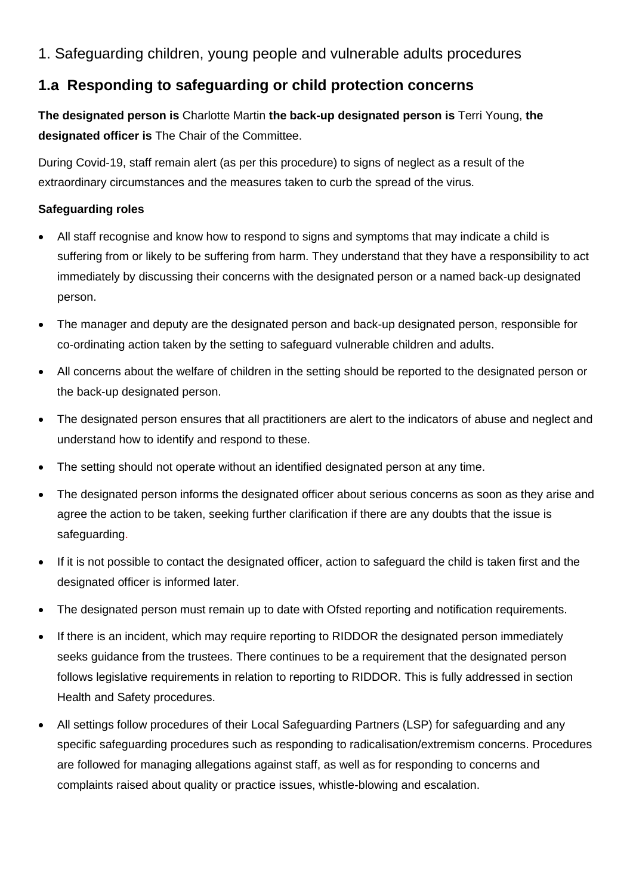# 1. Safeguarding children, young people and vulnerable adults procedures

# **1.a Responding to safeguarding or child protection concerns**

**The designated person is** Charlotte Martin **the back-up designated person is** Terri Young, **the designated officer is** The Chair of the Committee.

During Covid-19, staff remain alert (as per this procedure) to signs of neglect as a result of the extraordinary circumstances and the measures taken to curb the spread of the virus.

# **Safeguarding roles**

- All staff recognise and know how to respond to signs and symptoms that may indicate a child is suffering from or likely to be suffering from harm. They understand that they have a responsibility to act immediately by discussing their concerns with the designated person or a named back-up designated person.
- The manager and deputy are the designated person and back-up designated person, responsible for co-ordinating action taken by the setting to safeguard vulnerable children and adults.
- All concerns about the welfare of children in the setting should be reported to the designated person or the back-up designated person.
- The designated person ensures that all practitioners are alert to the indicators of abuse and neglect and understand how to identify and respond to these.
- The setting should not operate without an identified designated person at any time.
- The designated person informs the designated officer about serious concerns as soon as they arise and agree the action to be taken, seeking further clarification if there are any doubts that the issue is safeguarding.
- If it is not possible to contact the designated officer, action to safeguard the child is taken first and the designated officer is informed later.
- The designated person must remain up to date with Ofsted reporting and notification requirements.
- If there is an incident, which may require reporting to RIDDOR the designated person immediately seeks guidance from the trustees. There continues to be a requirement that the designated person follows legislative requirements in relation to reporting to RIDDOR. This is fully addressed in section Health and Safety procedures.
- All settings follow procedures of their Local Safeguarding Partners (LSP) for safeguarding and any specific safeguarding procedures such as responding to radicalisation/extremism concerns. Procedures are followed for managing allegations against staff, as well as for responding to concerns and complaints raised about quality or practice issues, whistle-blowing and escalation.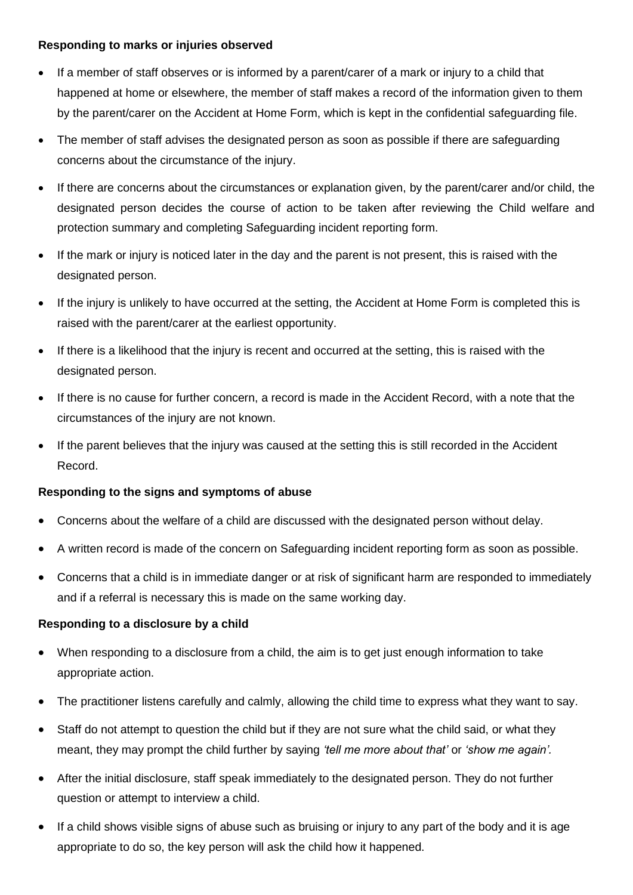### **Responding to marks or injuries observed**

- If a member of staff observes or is informed by a parent/carer of a mark or injury to a child that happened at home or elsewhere, the member of staff makes a record of the information given to them by the parent/carer on the Accident at Home Form, which is kept in the confidential safeguarding file.
- The member of staff advises the designated person as soon as possible if there are safeguarding concerns about the circumstance of the injury.
- If there are concerns about the circumstances or explanation given, by the parent/carer and/or child, the designated person decides the course of action to be taken after reviewing the Child welfare and protection summary and completing Safeguarding incident reporting form.
- If the mark or injury is noticed later in the day and the parent is not present, this is raised with the designated person.
- If the injury is unlikely to have occurred at the setting, the Accident at Home Form is completed this is raised with the parent/carer at the earliest opportunity.
- If there is a likelihood that the injury is recent and occurred at the setting, this is raised with the designated person.
- If there is no cause for further concern, a record is made in the Accident Record, with a note that the circumstances of the injury are not known.
- If the parent believes that the injury was caused at the setting this is still recorded in the Accident Record.

## **Responding to the signs and symptoms of abuse**

- Concerns about the welfare of a child are discussed with the designated person without delay.
- A written record is made of the concern on Safeguarding incident reporting form as soon as possible.
- Concerns that a child is in immediate danger or at risk of significant harm are responded to immediately and if a referral is necessary this is made on the same working day.

#### **Responding to a disclosure by a child**

- When responding to a disclosure from a child, the aim is to get just enough information to take appropriate action.
- The practitioner listens carefully and calmly, allowing the child time to express what they want to say.
- Staff do not attempt to question the child but if they are not sure what the child said, or what they meant, they may prompt the child further by saying *'tell me more about that'* or *'show me again'.*
- After the initial disclosure, staff speak immediately to the designated person. They do not further question or attempt to interview a child.
- If a child shows visible signs of abuse such as bruising or injury to any part of the body and it is age appropriate to do so, the key person will ask the child how it happened.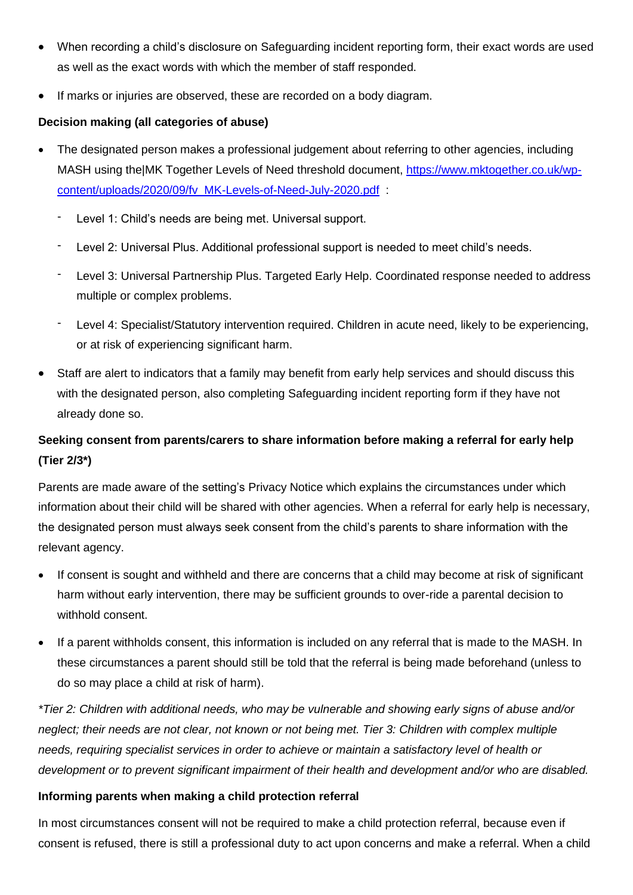- When recording a child's disclosure on Safeguarding incident reporting form, their exact words are used as well as the exact words with which the member of staff responded.
- If marks or injuries are observed, these are recorded on a body diagram.

# **Decision making (all categories of abuse)**

- The designated person makes a professional judgement about referring to other agencies, including MASH using the|MK Together Levels of Need threshold document, [https://www.mktogether.co.uk/wp](https://www.mktogether.co.uk/wp-content/uploads/2020/09/fv_MK-Levels-of-Need-July-2020.pdf)[content/uploads/2020/09/fv\\_MK-Levels-of-Need-July-2020.pdf](https://www.mktogether.co.uk/wp-content/uploads/2020/09/fv_MK-Levels-of-Need-July-2020.pdf) :
	- Level 1: Child's needs are being met. Universal support.
	- Level 2: Universal Plus. Additional professional support is needed to meet child's needs.
	- Level 3: Universal Partnership Plus. Targeted Early Help. Coordinated response needed to address multiple or complex problems.
	- Level 4: Specialist/Statutory intervention required. Children in acute need, likely to be experiencing, or at risk of experiencing significant harm.
- Staff are alert to indicators that a family may benefit from early help services and should discuss this with the designated person, also completing Safeguarding incident reporting form if they have not already done so.

# **Seeking consent from parents/carers to share information before making a referral for early help (Tier 2/3\*)**

Parents are made aware of the setting's Privacy Notice which explains the circumstances under which information about their child will be shared with other agencies. When a referral for early help is necessary, the designated person must always seek consent from the child's parents to share information with the relevant agency.

- If consent is sought and withheld and there are concerns that a child may become at risk of significant harm without early intervention, there may be sufficient grounds to over-ride a parental decision to withhold consent.
- If a parent withholds consent, this information is included on any referral that is made to the MASH. In these circumstances a parent should still be told that the referral is being made beforehand (unless to do so may place a child at risk of harm).

*\*Tier 2: Children with additional needs, who may be vulnerable and showing early signs of abuse and/or neglect; their needs are not clear, not known or not being met. Tier 3: Children with complex multiple needs, requiring specialist services in order to achieve or maintain a satisfactory level of health or development or to prevent significant impairment of their health and development and/or who are disabled.*

## **Informing parents when making a child protection referral**

In most circumstances consent will not be required to make a child protection referral, because even if consent is refused, there is still a professional duty to act upon concerns and make a referral. When a child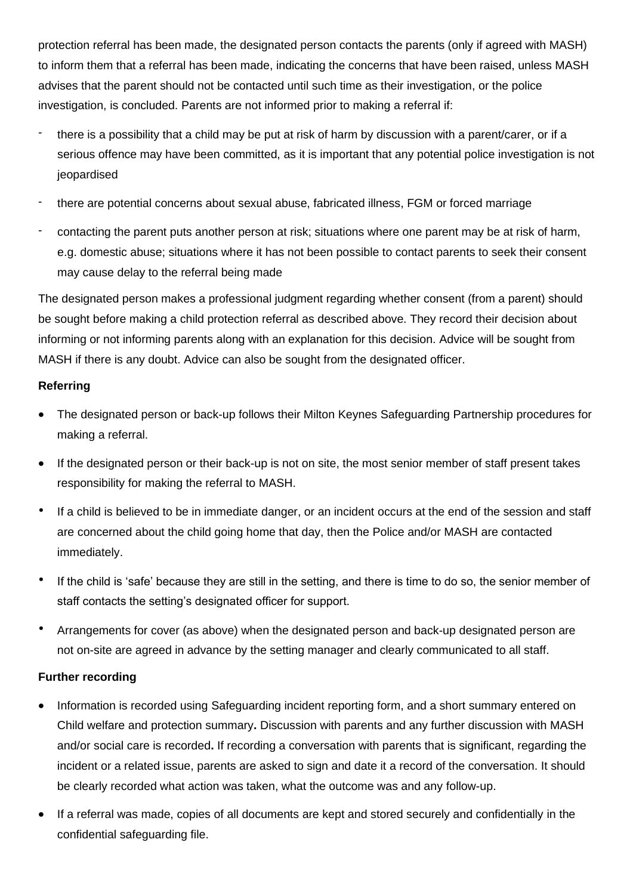protection referral has been made, the designated person contacts the parents (only if agreed with MASH) to inform them that a referral has been made, indicating the concerns that have been raised, unless MASH advises that the parent should not be contacted until such time as their investigation, or the police investigation, is concluded. Parents are not informed prior to making a referral if:

- there is a possibility that a child may be put at risk of harm by discussion with a parent/carer, or if a serious offence may have been committed, as it is important that any potential police investigation is not jeopardised
- there are potential concerns about sexual abuse, fabricated illness, FGM or forced marriage
- contacting the parent puts another person at risk; situations where one parent may be at risk of harm, e.g. domestic abuse; situations where it has not been possible to contact parents to seek their consent may cause delay to the referral being made

The designated person makes a professional judgment regarding whether consent (from a parent) should be sought before making a child protection referral as described above. They record their decision about informing or not informing parents along with an explanation for this decision. Advice will be sought from MASH if there is any doubt. Advice can also be sought from the designated officer.

## **Referring**

- The designated person or back-up follows their Milton Keynes Safeguarding Partnership procedures for making a referral.
- If the designated person or their back-up is not on site, the most senior member of staff present takes responsibility for making the referral to MASH.
- If a child is believed to be in immediate danger, or an incident occurs at the end of the session and staff are concerned about the child going home that day, then the Police and/or MASH are contacted immediately.
- If the child is 'safe' because they are still in the setting, and there is time to do so, the senior member of staff contacts the setting's designated officer for support.
- Arrangements for cover (as above) when the designated person and back-up designated person are not on-site are agreed in advance by the setting manager and clearly communicated to all staff.

# **Further recording**

- Information is recorded using Safeguarding incident reporting form, and a short summary entered on Child welfare and protection summary**.** Discussion with parents and any further discussion with MASH and/or social care is recorded**.** If recording a conversation with parents that is significant, regarding the incident or a related issue, parents are asked to sign and date it a record of the conversation. It should be clearly recorded what action was taken, what the outcome was and any follow-up.
- If a referral was made, copies of all documents are kept and stored securely and confidentially in the confidential safeguarding file.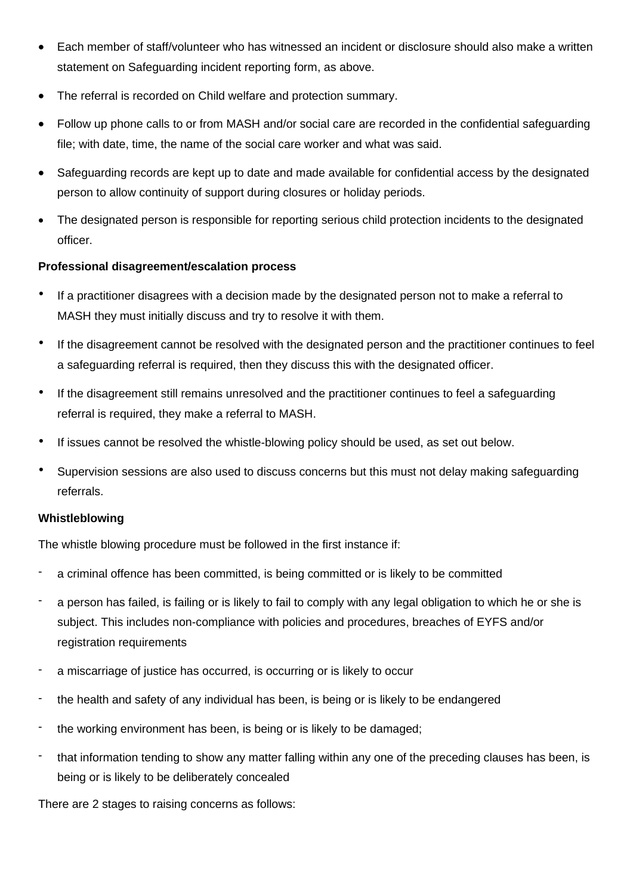- Each member of staff/volunteer who has witnessed an incident or disclosure should also make a written statement on Safeguarding incident reporting form, as above.
- The referral is recorded on Child welfare and protection summary.
- Follow up phone calls to or from MASH and/or social care are recorded in the confidential safeguarding file; with date, time, the name of the social care worker and what was said.
- Safeguarding records are kept up to date and made available for confidential access by the designated person to allow continuity of support during closures or holiday periods.
- The designated person is responsible for reporting serious child protection incidents to the designated officer.

### **Professional disagreement/escalation process**

- If a practitioner disagrees with a decision made by the designated person not to make a referral to MASH they must initially discuss and try to resolve it with them.
- If the disagreement cannot be resolved with the designated person and the practitioner continues to feel a safeguarding referral is required, then they discuss this with the designated officer.
- If the disagreement still remains unresolved and the practitioner continues to feel a safeguarding referral is required, they make a referral to MASH.
- If issues cannot be resolved the whistle-blowing policy should be used, as set out below.
- Supervision sessions are also used to discuss concerns but this must not delay making safeguarding referrals.

## **Whistleblowing**

The whistle blowing procedure must be followed in the first instance if:

- a criminal offence has been committed, is being committed or is likely to be committed
- a person has failed, is failing or is likely to fail to comply with any legal obligation to which he or she is subject. This includes non-compliance with policies and procedures, breaches of EYFS and/or registration requirements
- a miscarriage of justice has occurred, is occurring or is likely to occur
- the health and safety of any individual has been, is being or is likely to be endangered
- the working environment has been, is being or is likely to be damaged;
- that information tending to show any matter falling within any one of the preceding clauses has been, is being or is likely to be deliberately concealed

There are 2 stages to raising concerns as follows: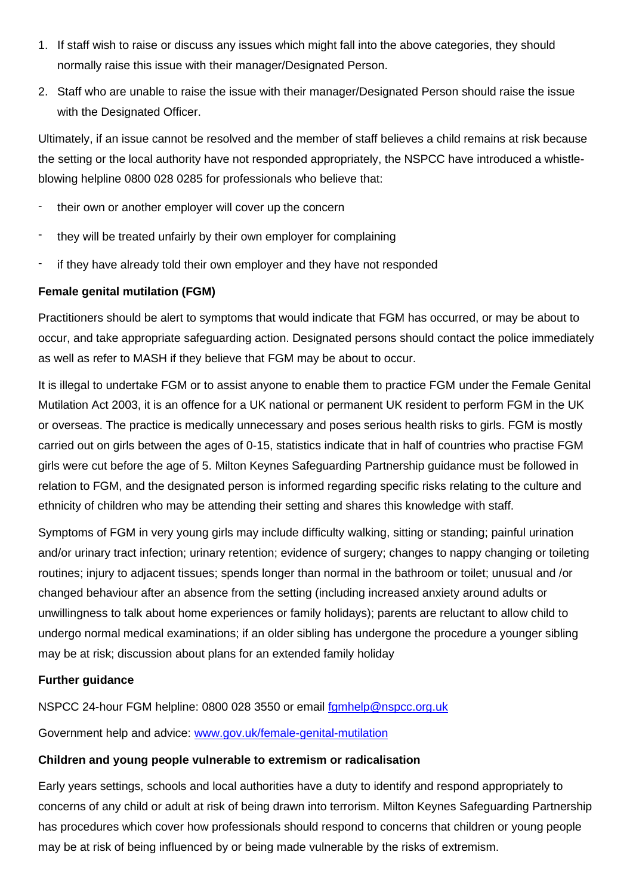- 1. If staff wish to raise or discuss any issues which might fall into the above categories, they should normally raise this issue with their manager/Designated Person.
- 2. Staff who are unable to raise the issue with their manager/Designated Person should raise the issue with the Designated Officer.

Ultimately, if an issue cannot be resolved and the member of staff believes a child remains at risk because the setting or the local authority have not responded appropriately, the NSPCC have introduced a whistleblowing helpline 0800 028 0285 for professionals who believe that:

- their own or another employer will cover up the concern
- they will be treated unfairly by their own employer for complaining
- if they have already told their own employer and they have not responded

### **Female genital mutilation (FGM)**

Practitioners should be alert to symptoms that would indicate that FGM has occurred, or may be about to occur, and take appropriate safeguarding action. Designated persons should contact the police immediately as well as refer to MASH if they believe that FGM may be about to occur.

It is illegal to undertake FGM or to assist anyone to enable them to practice FGM under the Female Genital Mutilation Act 2003, it is an offence for a UK national or permanent UK resident to perform FGM in the UK or overseas. The practice is medically unnecessary and poses serious health risks to girls. FGM is mostly carried out on girls between the ages of 0-15, statistics indicate that in half of countries who practise FGM girls were cut before the age of 5. Milton Keynes Safeguarding Partnership guidance must be followed in relation to FGM, and the designated person is informed regarding specific risks relating to the culture and ethnicity of children who may be attending their setting and shares this knowledge with staff.

Symptoms of FGM in very young girls may include difficulty walking, sitting or standing; painful urination and/or urinary tract infection; urinary retention; evidence of surgery; changes to nappy changing or toileting routines; injury to adjacent tissues; spends longer than normal in the bathroom or toilet; unusual and /or changed behaviour after an absence from the setting (including increased anxiety around adults or unwillingness to talk about home experiences or family holidays); parents are reluctant to allow child to undergo normal medical examinations; if an older sibling has undergone the procedure a younger sibling may be at risk; discussion about plans for an extended family holiday

#### **Further guidance**

NSPCC 24-hour FGM helpline: 0800 028 3550 or email [fgmhelp@nspcc.org.uk](mailto:fgmhelp@nspcc.org.uk)

Government help and advice: [www.gov.uk/female-genital-mutilation](http://www.gov.uk/female-genital-mutilation)

#### **Children and young people vulnerable to extremism or radicalisation**

Early years settings, schools and local authorities have a duty to identify and respond appropriately to concerns of any child or adult at risk of being drawn into terrorism. Milton Keynes Safeguarding Partnership has procedures which cover how professionals should respond to concerns that children or young people may be at risk of being influenced by or being made vulnerable by the risks of extremism.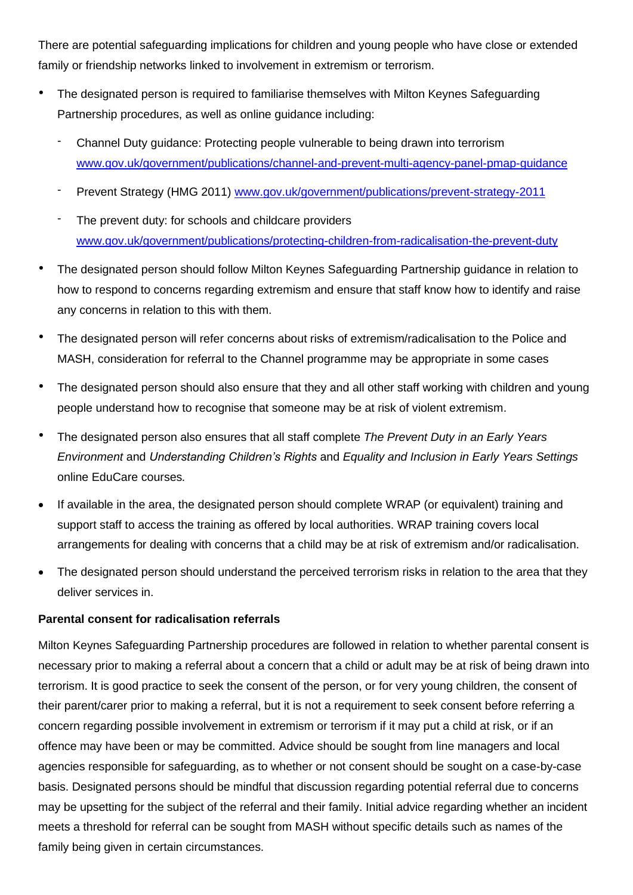There are potential safeguarding implications for children and young people who have close or extended family or friendship networks linked to involvement in extremism or terrorism.

- The designated person is required to familiarise themselves with Milton Keynes Safeguarding Partnership procedures, as well as online guidance including:
	- Channel Duty guidance: Protecting people vulnerable to being drawn into terrorism [www.gov.uk/government/publications/channel-and-prevent-multi-agency-panel-pmap-guidance](http://www.gov.uk/government/publications/channel-and-prevent-multi-agency-panel-pmap-guidance)
	- Prevent Strategy (HMG 2011) [www.gov.uk/government/publications/prevent-strategy-2011](http://www.gov.uk/government/publications/prevent-strategy-2011)
	- The prevent duty: for schools and childcare providers [www.gov.uk/government/publications/protecting-children-from-radicalisation-the-prevent-duty](http://www.gov.uk/government/publications/protecting-children-from-radicalisation-the-prevent-duty)
- The designated person should follow Milton Keynes Safeguarding Partnership guidance in relation to how to respond to concerns regarding extremism and ensure that staff know how to identify and raise any concerns in relation to this with them.
- The designated person will refer concerns about risks of extremism/radicalisation to the Police and MASH, consideration for referral to the Channel programme may be appropriate in some cases
- The designated person should also ensure that they and all other staff working with children and young people understand how to recognise that someone may be at risk of violent extremism.
- The designated person also ensures that all staff complete *The Prevent Duty in an Early Years Environment* and *Understanding Children's Rights* and *Equality and Inclusion in Early Years Settings* online EduCare courses*.*
- If available in the area, the designated person should complete WRAP (or equivalent) training and support staff to access the training as offered by local authorities. WRAP training covers local arrangements for dealing with concerns that a child may be at risk of extremism and/or radicalisation.
- The designated person should understand the perceived terrorism risks in relation to the area that they deliver services in.

## **Parental consent for radicalisation referrals**

Milton Keynes Safeguarding Partnership procedures are followed in relation to whether parental consent is necessary prior to making a referral about a concern that a child or adult may be at risk of being drawn into terrorism. It is good practice to seek the consent of the person, or for very young children, the consent of their parent/carer prior to making a referral, but it is not a requirement to seek consent before referring a concern regarding possible involvement in extremism or terrorism if it may put a child at risk, or if an offence may have been or may be committed. Advice should be sought from line managers and local agencies responsible for safeguarding, as to whether or not consent should be sought on a case-by-case basis. Designated persons should be mindful that discussion regarding potential referral due to concerns may be upsetting for the subject of the referral and their family. Initial advice regarding whether an incident meets a threshold for referral can be sought from MASH without specific details such as names of the family being given in certain circumstances.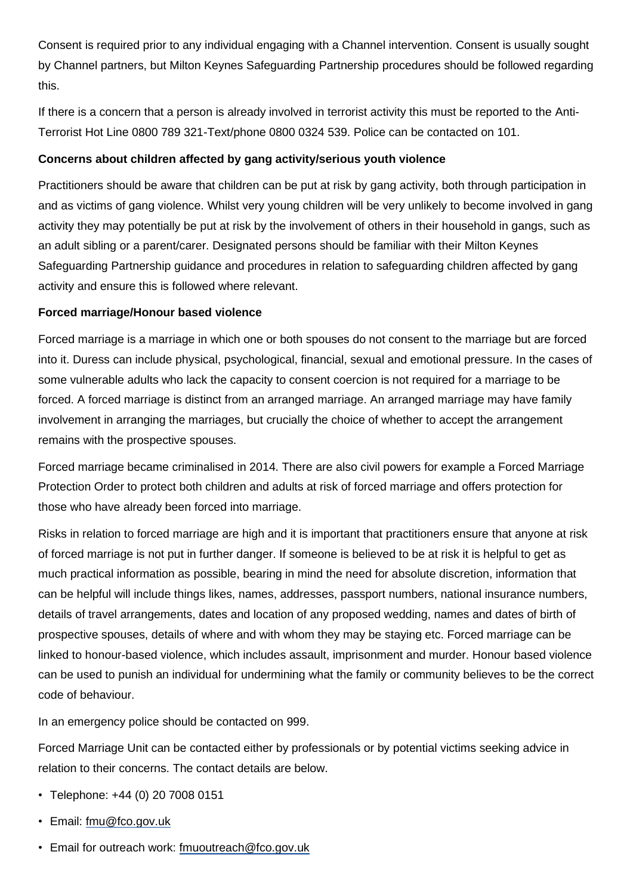Consent is required prior to any individual engaging with a Channel intervention. Consent is usually sought by Channel partners, but Milton Keynes Safeguarding Partnership procedures should be followed regarding this.

If there is a concern that a person is already involved in terrorist activity this must be reported to the Anti-Terrorist Hot Line 0800 789 321-Text/phone 0800 0324 539. Police can be contacted on 101.

## **Concerns about children affected by gang activity/serious youth violence**

Practitioners should be aware that children can be put at risk by gang activity, both through participation in and as victims of gang violence. Whilst very young children will be very unlikely to become involved in gang activity they may potentially be put at risk by the involvement of others in their household in gangs, such as an adult sibling or a parent/carer. Designated persons should be familiar with their Milton Keynes Safeguarding Partnership guidance and procedures in relation to safeguarding children affected by gang activity and ensure this is followed where relevant.

## **Forced marriage/Honour based violence**

Forced marriage is a marriage in which one or both spouses do not consent to the marriage but are forced into it. Duress can include physical, psychological, financial, sexual and emotional pressure. In the cases of some vulnerable adults who lack the capacity to consent coercion is not required for a marriage to be forced. A forced marriage is distinct from an arranged marriage. An arranged marriage may have family involvement in arranging the marriages, but crucially the choice of whether to accept the arrangement remains with the prospective spouses.

Forced marriage became criminalised in 2014. There are also civil powers for example a Forced Marriage Protection Order to protect both children and adults at risk of forced marriage and offers protection for those who have already been forced into marriage.

Risks in relation to forced marriage are high and it is important that practitioners ensure that anyone at risk of forced marriage is not put in further danger. If someone is believed to be at risk it is helpful to get as much practical information as possible, bearing in mind the need for absolute discretion, information that can be helpful will include things likes, names, addresses, passport numbers, national insurance numbers, details of travel arrangements, dates and location of any proposed wedding, names and dates of birth of prospective spouses, details of where and with whom they may be staying etc. Forced marriage can be linked to honour-based violence, which includes assault, imprisonment and murder. Honour based violence can be used to punish an individual for undermining what the family or community believes to be the correct code of behaviour.

In an emergency police should be contacted on 999.

Forced Marriage Unit can be contacted either by professionals or by potential victims seeking advice in relation to their concerns. The contact details are below.

- Telephone: +44 (0) 20 7008 0151
- Email: [fmu@fco.gov.uk](mailto:fmu@fco.gov.uk)
- Email for outreach work: [fmuoutreach@fco.gov.uk](mailto:fmuoutreach@fco.gov.uk)